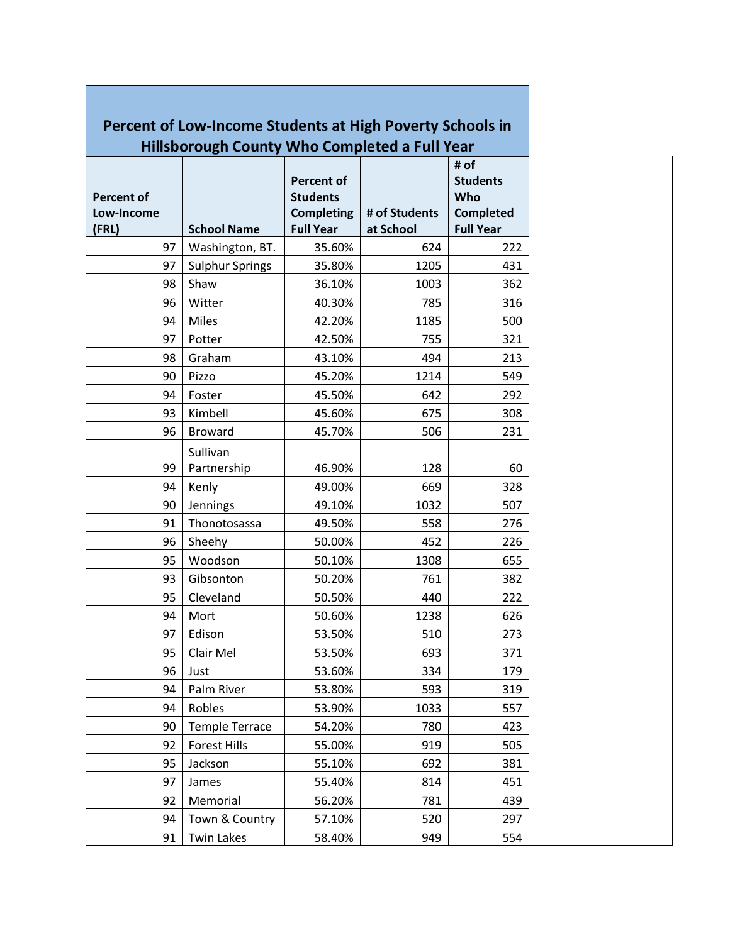| Percent of Low-Income Students at High Poverty Schools in |                         |                                                                               |                            |                                                                        |  |  |  |  |  |
|-----------------------------------------------------------|-------------------------|-------------------------------------------------------------------------------|----------------------------|------------------------------------------------------------------------|--|--|--|--|--|
| <b>Hillsborough County Who Completed a Full Year</b>      |                         |                                                                               |                            |                                                                        |  |  |  |  |  |
| <b>Percent of</b><br>Low-Income<br>(FRL)                  | <b>School Name</b>      | <b>Percent of</b><br><b>Students</b><br><b>Completing</b><br><b>Full Year</b> | # of Students<br>at School | # of<br><b>Students</b><br>Who<br><b>Completed</b><br><b>Full Year</b> |  |  |  |  |  |
| 97                                                        | Washington, BT.         | 35.60%                                                                        | 624                        | 222                                                                    |  |  |  |  |  |
| 97                                                        | <b>Sulphur Springs</b>  | 35.80%                                                                        | 1205                       | 431                                                                    |  |  |  |  |  |
| 98                                                        | Shaw                    | 36.10%                                                                        | 1003                       | 362                                                                    |  |  |  |  |  |
| 96                                                        | Witter                  | 40.30%                                                                        | 785                        | 316                                                                    |  |  |  |  |  |
| 94                                                        | <b>Miles</b>            | 42.20%                                                                        | 1185                       | 500                                                                    |  |  |  |  |  |
| 97                                                        | Potter                  | 42.50%                                                                        | 755                        | 321                                                                    |  |  |  |  |  |
| 98                                                        | Graham                  | 43.10%                                                                        | 494                        | 213                                                                    |  |  |  |  |  |
| 90                                                        | Pizzo                   | 45.20%                                                                        | 1214                       | 549                                                                    |  |  |  |  |  |
| 94                                                        | Foster                  | 45.50%                                                                        | 642                        | 292                                                                    |  |  |  |  |  |
| 93                                                        | Kimbell                 | 45.60%                                                                        | 675                        | 308                                                                    |  |  |  |  |  |
| 96                                                        | <b>Broward</b>          | 45.70%                                                                        | 506                        | 231                                                                    |  |  |  |  |  |
| 99                                                        | Sullivan<br>Partnership | 46.90%                                                                        | 128                        | 60                                                                     |  |  |  |  |  |
| 94                                                        | Kenly                   | 49.00%                                                                        | 669                        | 328                                                                    |  |  |  |  |  |
| 90                                                        | Jennings                | 49.10%                                                                        | 1032                       | 507                                                                    |  |  |  |  |  |
| 91                                                        | Thonotosassa            | 49.50%                                                                        | 558                        | 276                                                                    |  |  |  |  |  |
| 96                                                        | Sheehy                  | 50.00%                                                                        | 452                        | 226                                                                    |  |  |  |  |  |
| 95                                                        | Woodson                 | 50.10%                                                                        | 1308                       | 655                                                                    |  |  |  |  |  |
| 93                                                        | Gibsonton               | 50.20%                                                                        | 761                        | 382                                                                    |  |  |  |  |  |
| 95                                                        | Cleveland               | 50.50%                                                                        | 440                        | 222                                                                    |  |  |  |  |  |
| 94                                                        | Mort                    | 50.60%                                                                        | 1238                       | 626                                                                    |  |  |  |  |  |
| 97                                                        | Edison                  | 53.50%                                                                        | 510                        | 273                                                                    |  |  |  |  |  |
| 95                                                        | Clair Mel               | 53.50%                                                                        | 693                        | 371                                                                    |  |  |  |  |  |
| 96                                                        | Just                    | 53.60%                                                                        | 334                        | 179                                                                    |  |  |  |  |  |
| 94                                                        | Palm River              | 53.80%                                                                        | 593                        | 319                                                                    |  |  |  |  |  |
| 94                                                        | Robles                  | 53.90%                                                                        | 1033                       | 557                                                                    |  |  |  |  |  |
| 90                                                        | <b>Temple Terrace</b>   | 54.20%                                                                        | 780                        | 423                                                                    |  |  |  |  |  |
| 92                                                        | <b>Forest Hills</b>     | 55.00%                                                                        | 919                        | 505                                                                    |  |  |  |  |  |
| 95                                                        | Jackson                 | 55.10%                                                                        | 692                        | 381                                                                    |  |  |  |  |  |
| 97                                                        | James                   | 55.40%                                                                        | 814                        | 451                                                                    |  |  |  |  |  |
| 92                                                        | Memorial                | 56.20%                                                                        | 781                        | 439                                                                    |  |  |  |  |  |
| 94                                                        | Town & Country          | 57.10%                                                                        | 520                        | 297                                                                    |  |  |  |  |  |
| 91                                                        | <b>Twin Lakes</b>       | 58.40%                                                                        | 949                        | 554                                                                    |  |  |  |  |  |